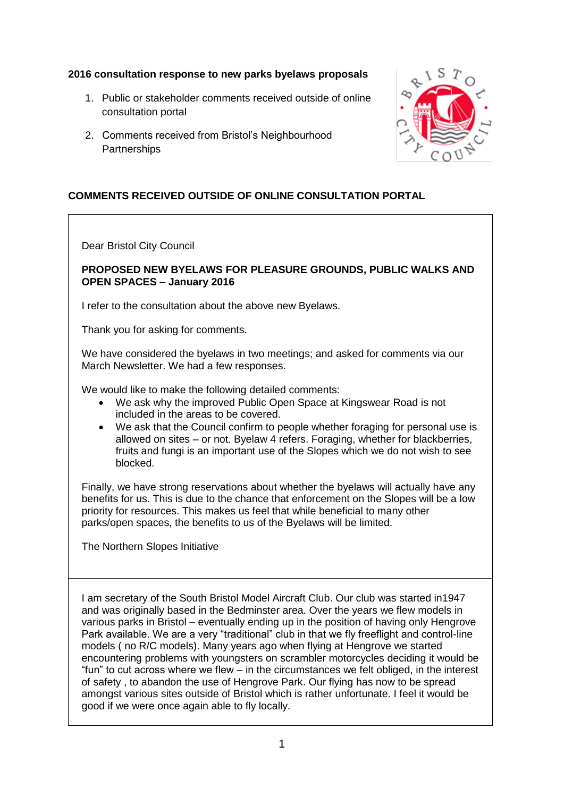## **2016 consultation response to new parks byelaws proposals**

- 1. Public or stakeholder comments received outside of online consultation portal
- 2. Comments received from Bristol's Neighbourhood **Partnerships**



## **COMMENTS RECEIVED OUTSIDE OF ONLINE CONSULTATION PORTAL**

Dear Bristol City Council

## **PROPOSED NEW BYELAWS FOR PLEASURE GROUNDS, PUBLIC WALKS AND OPEN SPACES – January 2016**

I refer to the consultation about the above new Byelaws.

Thank you for asking for comments.

We have considered the byelaws in two meetings; and asked for comments via our March Newsletter. We had a few responses.

We would like to make the following detailed comments:

- We ask why the improved Public Open Space at Kingswear Road is not included in the areas to be covered.
- We ask that the Council confirm to people whether foraging for personal use is allowed on sites – or not. Byelaw 4 refers. Foraging, whether for blackberries, fruits and fungi is an important use of the Slopes which we do not wish to see blocked.

Finally, we have strong reservations about whether the byelaws will actually have any benefits for us. This is due to the chance that enforcement on the Slopes will be a low priority for resources. This makes us feel that while beneficial to many other parks/open spaces, the benefits to us of the Byelaws will be limited.

The Northern Slopes Initiative

I am secretary of the South Bristol Model Aircraft Club. Our club was started in1947 and was originally based in the Bedminster area. Over the years we flew models in various parks in Bristol – eventually ending up in the position of having only Hengrove Park available. We are a very "traditional" club in that we fly freeflight and control-line models ( no R/C models). Many years ago when flying at Hengrove we started encountering problems with youngsters on scrambler motorcycles deciding it would be "fun" to cut across where we flew – in the circumstances we felt obliged, in the interest of safety , to abandon the use of Hengrove Park. Our flying has now to be spread amongst various sites outside of Bristol which is rather unfortunate. I feel it would be good if we were once again able to fly locally.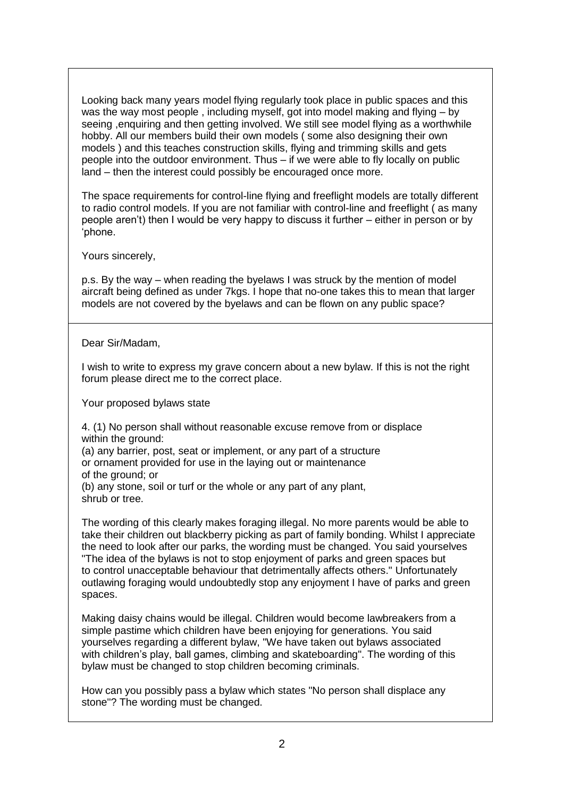Looking back many years model flying regularly took place in public spaces and this was the way most people , including myself, got into model making and flying – by seeing ,enquiring and then getting involved. We still see model flying as a worthwhile hobby. All our members build their own models ( some also designing their own models ) and this teaches construction skills, flying and trimming skills and gets people into the outdoor environment. Thus – if we were able to fly locally on public land – then the interest could possibly be encouraged once more.

The space requirements for control-line flying and freeflight models are totally different to radio control models. If you are not familiar with control-line and freeflight ( as many people aren't) then I would be very happy to discuss it further – either in person or by 'phone.

Yours sincerely,

p.s. By the way – when reading the byelaws I was struck by the mention of model aircraft being defined as under 7kgs. I hope that no-one takes this to mean that larger models are not covered by the byelaws and can be flown on any public space?

Dear Sir/Madam,

I wish to write to express my grave concern about a new bylaw. If this is not the right forum please direct me to the correct place.

Your proposed bylaws state

4. (1) No person shall without reasonable excuse remove from or displace within the ground:

(a) any barrier, post, seat or implement, or any part of a structure

or ornament provided for use in the laying out or maintenance

of the ground; or

(b) any stone, soil or turf or the whole or any part of any plant, shrub or tree.

The wording of this clearly makes foraging illegal. No more parents would be able to take their children out blackberry picking as part of family bonding. Whilst I appreciate the need to look after our parks, the wording must be changed. You said yourselves "The idea of the bylaws is not to stop enjoyment of parks and green spaces but to control unacceptable behaviour that detrimentally affects others." Unfortunately outlawing foraging would undoubtedly stop any enjoyment I have of parks and green spaces.

Making daisy chains would be illegal. Children would become lawbreakers from a simple pastime which children have been enjoying for generations. You said yourselves regarding a different bylaw, "We have taken out bylaws associated with children's play, ball games, climbing and skateboarding". The wording of this bylaw must be changed to stop children becoming criminals.

How can you possibly pass a bylaw which states "No person shall displace any stone"? The wording must be changed.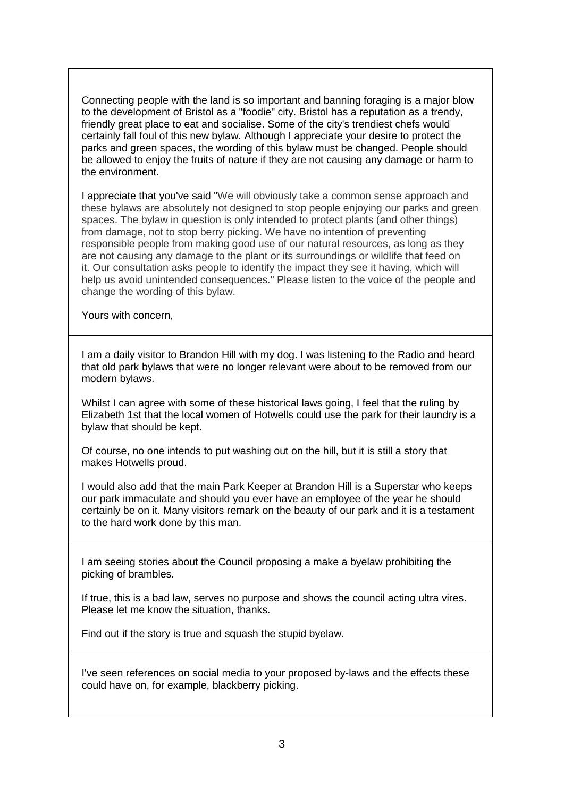Connecting people with the land is so important and banning foraging is a major blow to the development of Bristol as a "foodie" city. Bristol has a reputation as a trendy, friendly great place to eat and socialise. Some of the city's trendiest chefs would certainly fall foul of this new bylaw. Although I appreciate your desire to protect the parks and green spaces, the wording of this bylaw must be changed. People should be allowed to enjoy the fruits of nature if they are not causing any damage or harm to the environment.

I appreciate that you've said "We will obviously take a common sense approach and these bylaws are absolutely not designed to stop people enjoying our parks and green spaces. The bylaw in question is only intended to protect plants (and other things) from damage, not to stop berry picking. We have no intention of preventing responsible people from making good use of our natural resources, as long as they are not causing any damage to the plant or its surroundings or wildlife that feed on it. Our consultation asks people to identify the impact they see it having, which will help us avoid unintended consequences." Please listen to the voice of the people and change the wording of this bylaw.

Yours with concern,

I am a daily visitor to Brandon Hill with my dog. I was listening to the Radio and heard that old park bylaws that were no longer relevant were about to be removed from our modern bylaws.

Whilst I can agree with some of these historical laws going, I feel that the ruling by Elizabeth 1st that the local women of Hotwells could use the park for their laundry is a bylaw that should be kept.

Of course, no one intends to put washing out on the hill, but it is still a story that makes Hotwells proud.

I would also add that the main Park Keeper at Brandon Hill is a Superstar who keeps our park immaculate and should you ever have an employee of the year he should certainly be on it. Many visitors remark on the beauty of our park and it is a testament to the hard work done by this man.

I am seeing stories about the Council proposing a make a byelaw prohibiting the picking of brambles.

If true, this is a bad law, serves no purpose and shows the council acting ultra vires. Please let me know the situation, thanks.

Find out if the story is true and squash the stupid byelaw.

I've seen references on social media to your proposed by-laws and the effects these could have on, for example, blackberry picking.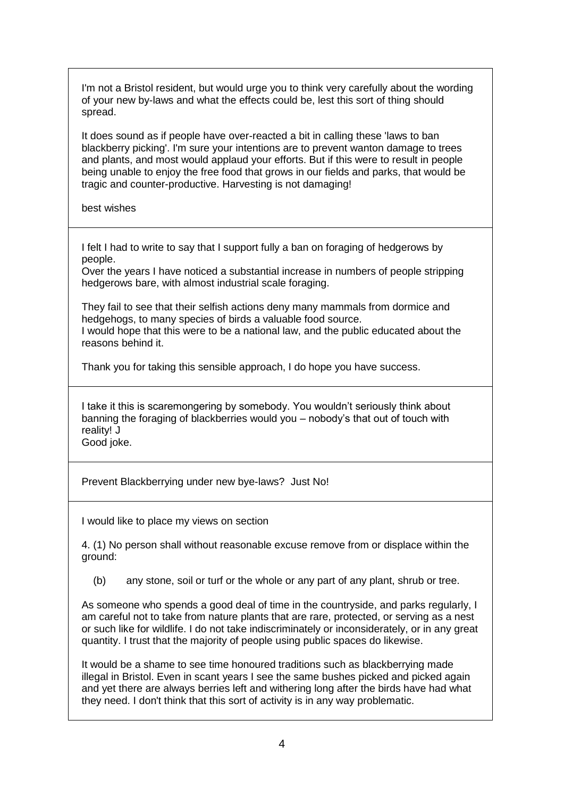I'm not a Bristol resident, but would urge you to think very carefully about the wording of your new by-laws and what the effects could be, lest this sort of thing should spread.

It does sound as if people have over-reacted a bit in calling these 'laws to ban blackberry picking'. I'm sure your intentions are to prevent wanton damage to trees and plants, and most would applaud your efforts. But if this were to result in people being unable to enjoy the free food that grows in our fields and parks, that would be tragic and counter-productive. Harvesting is not damaging!

best wishes

I felt I had to write to say that I support fully a ban on foraging of hedgerows by people.

Over the years I have noticed a substantial increase in numbers of people stripping hedgerows bare, with almost industrial scale foraging.

They fail to see that their selfish actions deny many mammals from dormice and hedgehogs, to many species of birds a valuable food source. I would hope that this were to be a national law, and the public educated about the reasons behind it.

Thank you for taking this sensible approach, I do hope you have success.

I take it this is scaremongering by somebody. You wouldn't seriously think about banning the foraging of blackberries would you – nobody's that out of touch with reality! J Good joke.

Prevent Blackberrying under new bye-laws? Just No!

I would like to place my views on section

4. (1) No person shall without reasonable excuse remove from or displace within the ground:

(b) any stone, soil or turf or the whole or any part of any plant, shrub or tree.

As someone who spends a good deal of time in the countryside, and parks regularly, I am careful not to take from nature plants that are rare, protected, or serving as a nest or such like for wildlife. I do not take indiscriminately or inconsiderately, or in any great quantity. I trust that the majority of people using public spaces do likewise.

It would be a shame to see time honoured traditions such as blackberrying made illegal in Bristol. Even in scant years I see the same bushes picked and picked again and yet there are always berries left and withering long after the birds have had what they need. I don't think that this sort of activity is in any way problematic.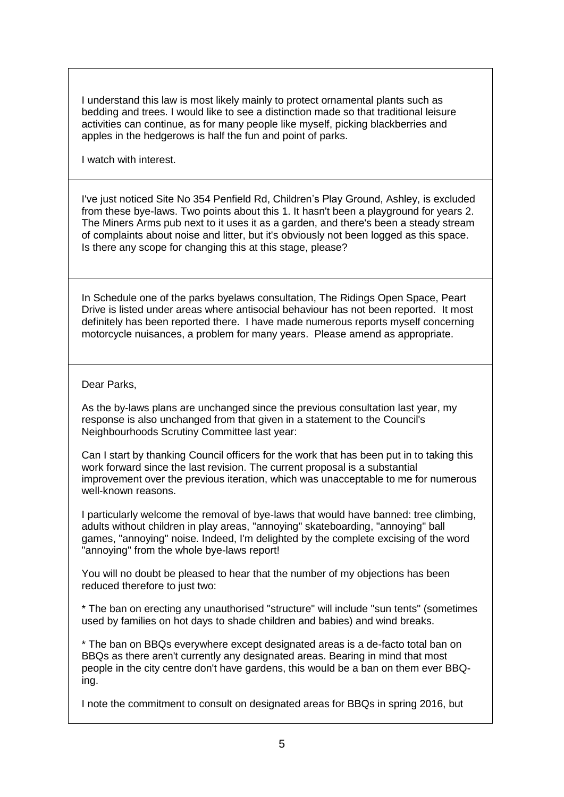I understand this law is most likely mainly to protect ornamental plants such as bedding and trees. I would like to see a distinction made so that traditional leisure activities can continue, as for many people like myself, picking blackberries and apples in the hedgerows is half the fun and point of parks.

I watch with interest.

I've just noticed Site No 354 Penfield Rd, Children's Play Ground, Ashley, is excluded from these bye-laws. Two points about this 1. It hasn't been a playground for years 2. The Miners Arms pub next to it uses it as a garden, and there's been a steady stream of complaints about noise and litter, but it's obviously not been logged as this space. Is there any scope for changing this at this stage, please?

In Schedule one of the parks byelaws consultation, The Ridings Open Space, Peart Drive is listed under areas where antisocial behaviour has not been reported. It most definitely has been reported there. I have made numerous reports myself concerning motorcycle nuisances, a problem for many years. Please amend as appropriate.

Dear Parks,

As the by-laws plans are unchanged since the previous consultation last year, my response is also unchanged from that given in a statement to the Council's Neighbourhoods Scrutiny Committee last year:

Can I start by thanking Council officers for the work that has been put in to taking this work forward since the last revision. The current proposal is a substantial improvement over the previous iteration, which was unacceptable to me for numerous well-known reasons.

I particularly welcome the removal of bye-laws that would have banned: tree climbing, adults without children in play areas, "annoying" skateboarding, "annoying" ball games, "annoying" noise. Indeed, I'm delighted by the complete excising of the word "annoying" from the whole bye-laws report!

You will no doubt be pleased to hear that the number of my objections has been reduced therefore to just two:

\* The ban on erecting any unauthorised "structure" will include "sun tents" (sometimes used by families on hot days to shade children and babies) and wind breaks.

\* The ban on BBQs everywhere except designated areas is a de-facto total ban on BBQs as there aren't currently any designated areas. Bearing in mind that most people in the city centre don't have gardens, this would be a ban on them ever BBQing.

I note the commitment to consult on designated areas for BBQs in spring 2016, but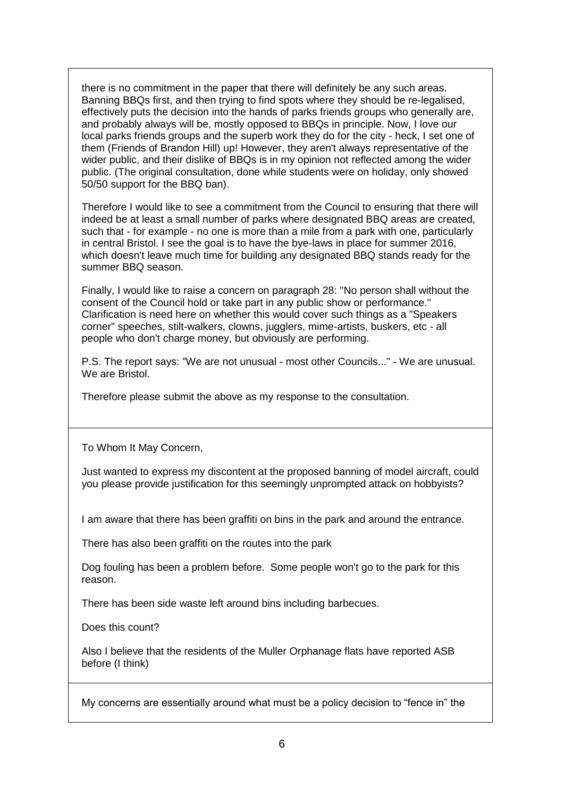there is no commitment in the paper that there will definitely be any such areas. Banning BBQs first, and then trying to find spots where they should be re-legalised, effectively puts the decision into the hands of parks friends groups who generally are, and probably always will be, mostly opposed to BBQs in principle. Now, I love our local parks friends groups and the superb work they do for the city - heck, I set one of them (Friends of Brandon Hill) up! However, they aren't always representative of the wider public, and their dislike of BBQs is in my opinion not reflected among the wider public. (The original consultation, done while students were on holiday, only showed 50/50 support for the BBQ ban).

Therefore I would like to see a commitment from the Council to ensuring that there will indeed be at least a small number of parks where designated BBQ areas are created, such that - for example - no one is more than a mile from a park with one, particularly in central Bristol. I see the goal is to have the bye-laws in place for summer 2016, which doesn't leave much time for building any designated BBQ stands ready for the summer BBQ season.

Finally, I would like to raise a concern on paragraph 28: "No person shall without the consent of the Council hold or take part in any public show or performance." Clarification is need here on whether this would cover such things as a "Speakers corner" speeches, stilt-walkers, clowns, jugglers, mime-artists, buskers, etc - all people who don't charge money, but obviously are performing.

P.S. The report says: "We are not unusual - most other Councils..." - We are unusual. We are Bristol.

Therefore please submit the above as my response to the consultation.

To Whom It May Concern,

Just wanted to express my discontent at the proposed banning of model aircraft, could you please provide justification for this seemingly unprompted attack on hobbyists?

I am aware that there has been graffiti on bins in the park and around the entrance.

There has also been graffiti on the routes into the park

Dog fouling has been a problem before. Some people won't go to the park for this reason.

There has been side waste left around bins including barbecues.

Does this count?

Also I believe that the residents of the Muller Orphanage flats have reported ASB before (I think)

My concerns are essentially around what must be a policy decision to "fence in" the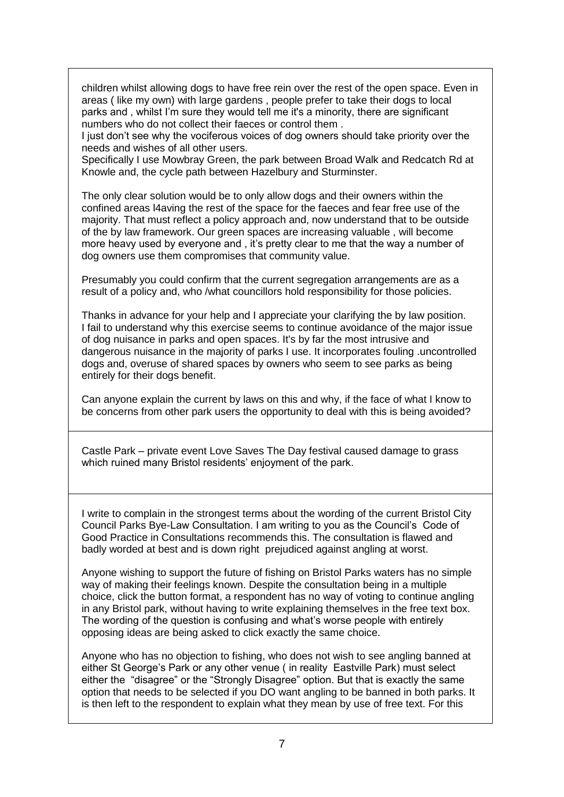children whilst allowing dogs to have free rein over the rest of the open space. Even in areas ( like my own) with large gardens , people prefer to take their dogs to local parks and , whilst I'm sure they would tell me it's a minority, there are significant numbers who do not collect their faeces or control them .

I just don't see why the vociferous voices of dog owners should take priority over the needs and wishes of all other users.

Specifically I use Mowbray Green, the park between Broad Walk and Redcatch Rd at Knowle and, the cycle path between Hazelbury and Sturminster.

The only clear solution would be to only allow dogs and their owners within the confined areas l4aving the rest of the space for the faeces and fear free use of the majority. That must reflect a policy approach and, now understand that to be outside of the by law framework. Our green spaces are increasing valuable , will become more heavy used by everyone and , it's pretty clear to me that the way a number of dog owners use them compromises that community value.

Presumably you could confirm that the current segregation arrangements are as a result of a policy and, who /what councillors hold responsibility for those policies.

Thanks in advance for your help and I appreciate your clarifying the by law position. I fail to understand why this exercise seems to continue avoidance of the major issue of dog nuisance in parks and open spaces. It's by far the most intrusive and dangerous nuisance in the majority of parks I use. It incorporates fouling .uncontrolled dogs and, overuse of shared spaces by owners who seem to see parks as being entirely for their dogs benefit.

Can anyone explain the current by laws on this and why, if the face of what I know to be concerns from other park users the opportunity to deal with this is being avoided?

Castle Park – private event Love Saves The Day festival caused damage to grass which ruined many Bristol residents' enjoyment of the park.

I write to complain in the strongest terms about the wording of the current Bristol City Council Parks Bye-Law Consultation. I am writing to you as the Council's Code of Good Practice in Consultations recommends this. The consultation is flawed and badly worded at best and is down right prejudiced against angling at worst.

Anyone wishing to support the future of fishing on Bristol Parks waters has no simple way of making their feelings known. Despite the consultation being in a multiple choice, click the button format, a respondent has no way of voting to continue angling in any Bristol park, without having to write explaining themselves in the free text box. The wording of the question is confusing and what's worse people with entirely opposing ideas are being asked to click exactly the same choice.

Anyone who has no objection to fishing, who does not wish to see angling banned at either St George's Park or any other venue ( in reality Eastville Park) must select either the "disagree" or the "Strongly Disagree" option. But that is exactly the same option that needs to be selected if you DO want angling to be banned in both parks. It is then left to the respondent to explain what they mean by use of free text. For this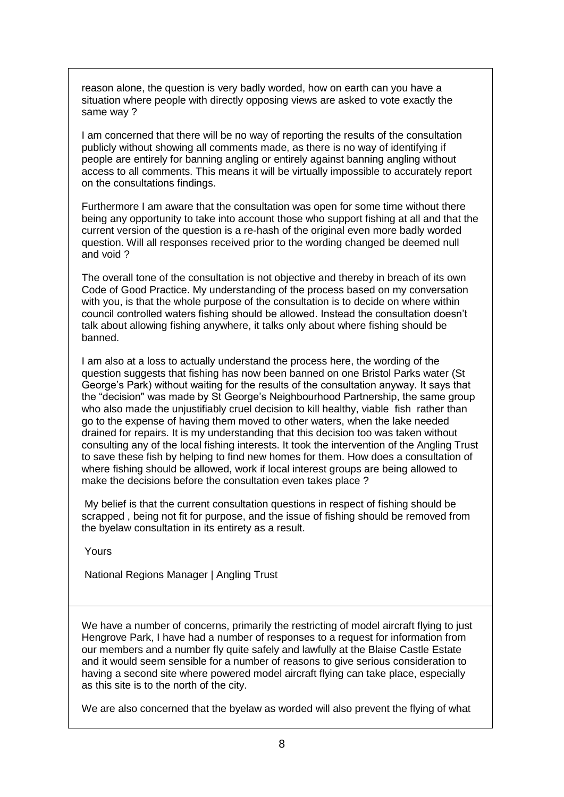reason alone, the question is very badly worded, how on earth can you have a situation where people with directly opposing views are asked to vote exactly the same way ?

I am concerned that there will be no way of reporting the results of the consultation publicly without showing all comments made, as there is no way of identifying if people are entirely for banning angling or entirely against banning angling without access to all comments. This means it will be virtually impossible to accurately report on the consultations findings.

Furthermore I am aware that the consultation was open for some time without there being any opportunity to take into account those who support fishing at all and that the current version of the question is a re-hash of the original even more badly worded question. Will all responses received prior to the wording changed be deemed null and void ?

The overall tone of the consultation is not objective and thereby in breach of its own Code of Good Practice. My understanding of the process based on my conversation with you, is that the whole purpose of the consultation is to decide on where within council controlled waters fishing should be allowed. Instead the consultation doesn't talk about allowing fishing anywhere, it talks only about where fishing should be banned.

I am also at a loss to actually understand the process here, the wording of the question suggests that fishing has now been banned on one Bristol Parks water (St George's Park) without waiting for the results of the consultation anyway. It says that the "decision" was made by St George's Neighbourhood Partnership, the same group who also made the unjustifiably cruel decision to kill healthy, viable fish rather than go to the expense of having them moved to other waters, when the lake needed drained for repairs. It is my understanding that this decision too was taken without consulting any of the local fishing interests. It took the intervention of the Angling Trust to save these fish by helping to find new homes for them. How does a consultation of where fishing should be allowed, work if local interest groups are being allowed to make the decisions before the consultation even takes place ?

My belief is that the current consultation questions in respect of fishing should be scrapped , being not fit for purpose, and the issue of fishing should be removed from the byelaw consultation in its entirety as a result.

Yours

National Regions Manager | Angling Trust

We have a number of concerns, primarily the restricting of model aircraft flying to just Hengrove Park, I have had a number of responses to a request for information from our members and a number fly quite safely and lawfully at the Blaise Castle Estate and it would seem sensible for a number of reasons to give serious consideration to having a second site where powered model aircraft flying can take place, especially as this site is to the north of the city.

We are also concerned that the byelaw as worded will also prevent the flying of what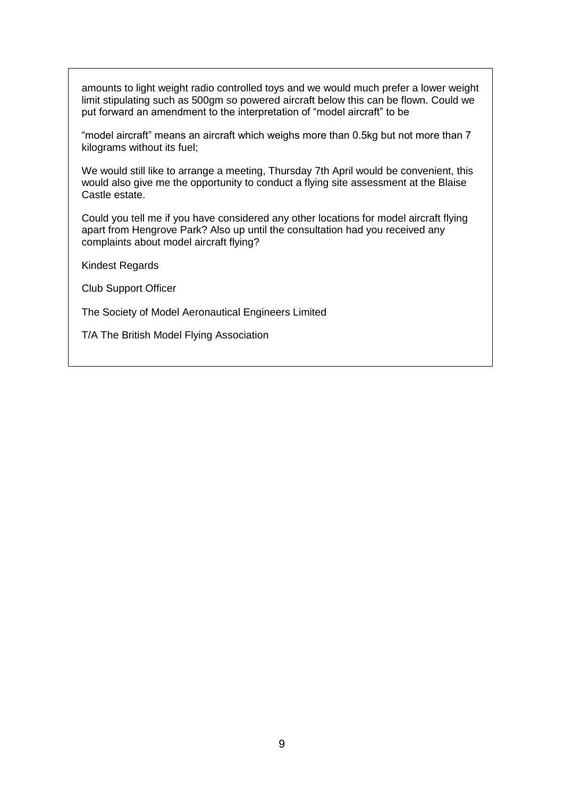amounts to light weight radio controlled toys and we would much prefer a lower weight limit stipulating such as 500gm so powered aircraft below this can be flown. Could we put forward an amendment to the interpretation of "model aircraft" to be

"model aircraft" means an aircraft which weighs more than 0.5kg but not more than 7 kilograms without its fuel;

We would still like to arrange a meeting, Thursday 7th April would be convenient, this would also give me the opportunity to conduct a flying site assessment at the Blaise Castle estate.

Could you tell me if you have considered any other locations for model aircraft flying apart from Hengrove Park? Also up until the consultation had you received any complaints about model aircraft flying?

Kindest Regards

Club Support Officer

The Society of Model Aeronautical Engineers Limited

T/A The British Model Flying Association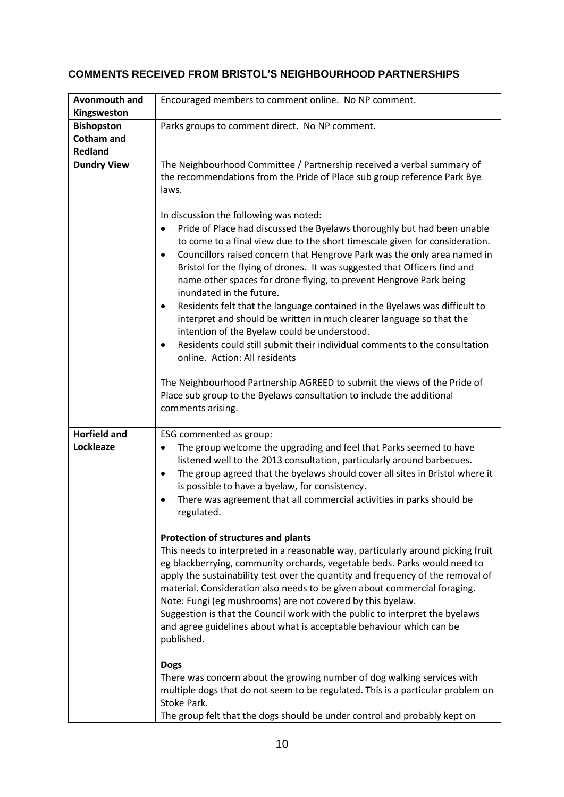## **COMMENTS RECEIVED FROM BRISTOL'S NEIGHBOURHOOD PARTNERSHIPS**

| <b>Avonmouth and</b><br>Kingsweston                      | Encouraged members to comment online. No NP comment.                                                                                                                                                                                                                                                                                                                                                                                                                                                                                                                                                                                                                                                                                                                                                                                                                                                                                                                                                                                                                    |
|----------------------------------------------------------|-------------------------------------------------------------------------------------------------------------------------------------------------------------------------------------------------------------------------------------------------------------------------------------------------------------------------------------------------------------------------------------------------------------------------------------------------------------------------------------------------------------------------------------------------------------------------------------------------------------------------------------------------------------------------------------------------------------------------------------------------------------------------------------------------------------------------------------------------------------------------------------------------------------------------------------------------------------------------------------------------------------------------------------------------------------------------|
| <b>Bishopston</b><br><b>Cotham and</b><br><b>Redland</b> | Parks groups to comment direct. No NP comment.                                                                                                                                                                                                                                                                                                                                                                                                                                                                                                                                                                                                                                                                                                                                                                                                                                                                                                                                                                                                                          |
| <b>Dundry View</b>                                       | The Neighbourhood Committee / Partnership received a verbal summary of<br>the recommendations from the Pride of Place sub group reference Park Bye<br>laws.<br>In discussion the following was noted:<br>Pride of Place had discussed the Byelaws thoroughly but had been unable<br>$\bullet$<br>to come to a final view due to the short timescale given for consideration.<br>Councillors raised concern that Hengrove Park was the only area named in<br>$\bullet$<br>Bristol for the flying of drones. It was suggested that Officers find and<br>name other spaces for drone flying, to prevent Hengrove Park being<br>inundated in the future.<br>Residents felt that the language contained in the Byelaws was difficult to<br>٠<br>interpret and should be written in much clearer language so that the<br>intention of the Byelaw could be understood.<br>Residents could still submit their individual comments to the consultation<br>$\bullet$<br>online. Action: All residents<br>The Neighbourhood Partnership AGREED to submit the views of the Pride of |
|                                                          | Place sub group to the Byelaws consultation to include the additional<br>comments arising.                                                                                                                                                                                                                                                                                                                                                                                                                                                                                                                                                                                                                                                                                                                                                                                                                                                                                                                                                                              |
| <b>Horfield and</b><br>Lockleaze                         | ESG commented as group:<br>The group welcome the upgrading and feel that Parks seemed to have<br>٠<br>listened well to the 2013 consultation, particularly around barbecues.<br>The group agreed that the byelaws should cover all sites in Bristol where it<br>$\bullet$<br>is possible to have a byelaw, for consistency.<br>There was agreement that all commercial activities in parks should be<br>regulated.                                                                                                                                                                                                                                                                                                                                                                                                                                                                                                                                                                                                                                                      |
|                                                          | Protection of structures and plants<br>This needs to interpreted in a reasonable way, particularly around picking fruit<br>eg blackberrying, community orchards, vegetable beds. Parks would need to<br>apply the sustainability test over the quantity and frequency of the removal of<br>material. Consideration also needs to be given about commercial foraging.<br>Note: Fungi (eg mushrooms) are not covered by this byelaw.<br>Suggestion is that the Council work with the public to interpret the byelaws<br>and agree guidelines about what is acceptable behaviour which can be<br>published.                                                                                                                                                                                                                                                                                                                                                                                                                                                                |
|                                                          | <b>Dogs</b><br>There was concern about the growing number of dog walking services with<br>multiple dogs that do not seem to be regulated. This is a particular problem on<br>Stoke Park.<br>The group felt that the dogs should be under control and probably kept on                                                                                                                                                                                                                                                                                                                                                                                                                                                                                                                                                                                                                                                                                                                                                                                                   |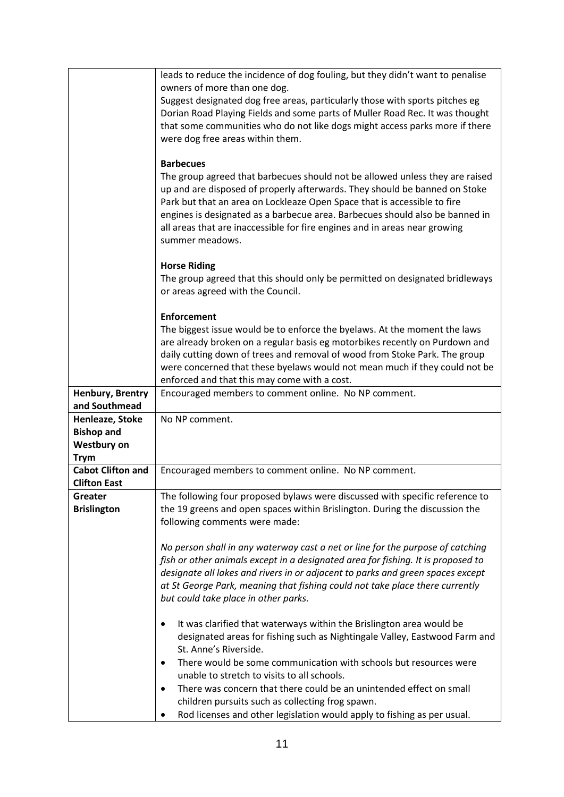|                          | leads to reduce the incidence of dog fouling, but they didn't want to penalise   |
|--------------------------|----------------------------------------------------------------------------------|
|                          | owners of more than one dog.                                                     |
|                          | Suggest designated dog free areas, particularly those with sports pitches eg     |
|                          | Dorian Road Playing Fields and some parts of Muller Road Rec. It was thought     |
|                          | that some communities who do not like dogs might access parks more if there      |
|                          | were dog free areas within them.                                                 |
|                          |                                                                                  |
|                          | <b>Barbecues</b>                                                                 |
|                          | The group agreed that barbecues should not be allowed unless they are raised     |
|                          | up and are disposed of properly afterwards. They should be banned on Stoke       |
|                          | Park but that an area on Lockleaze Open Space that is accessible to fire         |
|                          | engines is designated as a barbecue area. Barbecues should also be banned in     |
|                          | all areas that are inaccessible for fire engines and in areas near growing       |
|                          | summer meadows.                                                                  |
|                          |                                                                                  |
|                          | <b>Horse Riding</b>                                                              |
|                          | The group agreed that this should only be permitted on designated bridleways     |
|                          | or areas agreed with the Council.                                                |
|                          |                                                                                  |
|                          | <b>Enforcement</b>                                                               |
|                          | The biggest issue would be to enforce the byelaws. At the moment the laws        |
|                          | are already broken on a regular basis eg motorbikes recently on Purdown and      |
|                          | daily cutting down of trees and removal of wood from Stoke Park. The group       |
|                          | were concerned that these byelaws would not mean much if they could not be       |
|                          | enforced and that this may come with a cost.                                     |
| Henbury, Brentry         | Encouraged members to comment online. No NP comment.                             |
| and Southmead            |                                                                                  |
| Henleaze, Stoke          | No NP comment.                                                                   |
| <b>Bishop and</b>        |                                                                                  |
| <b>Westbury on</b>       |                                                                                  |
| <b>Trym</b>              |                                                                                  |
| <b>Cabot Clifton and</b> | Encouraged members to comment online. No NP comment.                             |
| <b>Clifton East</b>      |                                                                                  |
| Greater                  | The following four proposed bylaws were discussed with specific reference to     |
| <b>Brislington</b>       | the 19 greens and open spaces within Brislington. During the discussion the      |
|                          | following comments were made:                                                    |
|                          |                                                                                  |
|                          | No person shall in any waterway cast a net or line for the purpose of catching   |
|                          | fish or other animals except in a designated area for fishing. It is proposed to |
|                          | designate all lakes and rivers in or adjacent to parks and green spaces except   |
|                          | at St George Park, meaning that fishing could not take place there currently     |
|                          | but could take place in other parks.                                             |
|                          |                                                                                  |
|                          | It was clarified that waterways within the Brislington area would be<br>٠        |
|                          | designated areas for fishing such as Nightingale Valley, Eastwood Farm and       |
|                          | St. Anne's Riverside.                                                            |
|                          | There would be some communication with schools but resources were                |
|                          | ٠<br>unable to stretch to visits to all schools.                                 |
|                          |                                                                                  |
|                          | There was concern that there could be an unintended effect on small<br>$\bullet$ |
|                          | children pursuits such as collecting frog spawn.                                 |
|                          | Rod licenses and other legislation would apply to fishing as per usual.          |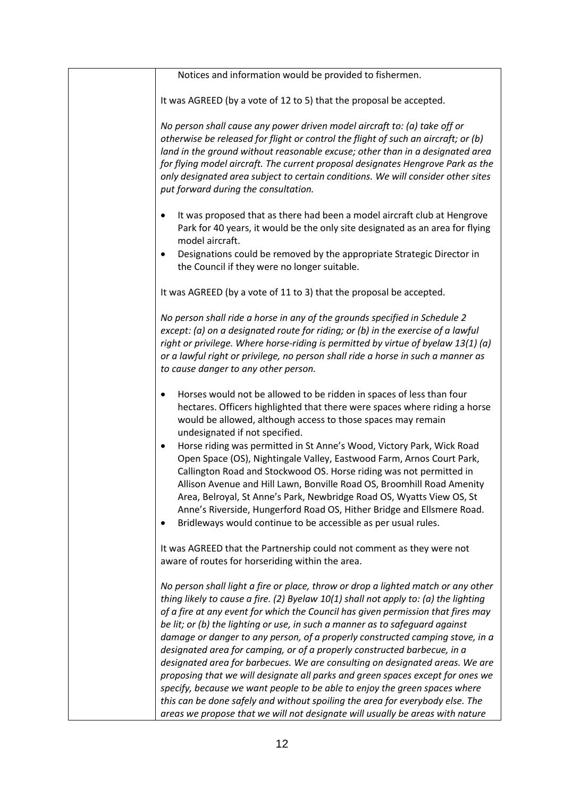| Notices and information would be provided to fishermen.                                                                                                                                                                                                                                                                                                                                                                                                                                                                                                                                                                                                                                                                                                                                                                                                                                                                       |
|-------------------------------------------------------------------------------------------------------------------------------------------------------------------------------------------------------------------------------------------------------------------------------------------------------------------------------------------------------------------------------------------------------------------------------------------------------------------------------------------------------------------------------------------------------------------------------------------------------------------------------------------------------------------------------------------------------------------------------------------------------------------------------------------------------------------------------------------------------------------------------------------------------------------------------|
| It was AGREED (by a vote of 12 to 5) that the proposal be accepted.                                                                                                                                                                                                                                                                                                                                                                                                                                                                                                                                                                                                                                                                                                                                                                                                                                                           |
| No person shall cause any power driven model aircraft to: (a) take off or<br>otherwise be released for flight or control the flight of such an aircraft; or (b)<br>land in the ground without reasonable excuse; other than in a designated area<br>for flying model aircraft. The current proposal designates Hengrove Park as the<br>only designated area subject to certain conditions. We will consider other sites<br>put forward during the consultation.                                                                                                                                                                                                                                                                                                                                                                                                                                                               |
| It was proposed that as there had been a model aircraft club at Hengrove<br>$\bullet$<br>Park for 40 years, it would be the only site designated as an area for flying<br>model aircraft.                                                                                                                                                                                                                                                                                                                                                                                                                                                                                                                                                                                                                                                                                                                                     |
| Designations could be removed by the appropriate Strategic Director in<br>$\bullet$<br>the Council if they were no longer suitable.                                                                                                                                                                                                                                                                                                                                                                                                                                                                                                                                                                                                                                                                                                                                                                                           |
| It was AGREED (by a vote of 11 to 3) that the proposal be accepted.                                                                                                                                                                                                                                                                                                                                                                                                                                                                                                                                                                                                                                                                                                                                                                                                                                                           |
| No person shall ride a horse in any of the grounds specified in Schedule 2<br>except: (a) on a designated route for riding; or (b) in the exercise of a lawful<br>right or privilege. Where horse-riding is permitted by virtue of byelaw 13(1) (a)<br>or a lawful right or privilege, no person shall ride a horse in such a manner as<br>to cause danger to any other person.                                                                                                                                                                                                                                                                                                                                                                                                                                                                                                                                               |
| Horses would not be allowed to be ridden in spaces of less than four<br>٠<br>hectares. Officers highlighted that there were spaces where riding a horse<br>would be allowed, although access to those spaces may remain<br>undesignated if not specified.<br>Horse riding was permitted in St Anne's Wood, Victory Park, Wick Road<br>$\bullet$<br>Open Space (OS), Nightingale Valley, Eastwood Farm, Arnos Court Park,<br>Callington Road and Stockwood OS. Horse riding was not permitted in<br>Allison Avenue and Hill Lawn, Bonville Road OS, Broomhill Road Amenity<br>Area, Belroyal, St Anne's Park, Newbridge Road OS, Wyatts View OS, St<br>Anne's Riverside, Hungerford Road OS, Hither Bridge and Ellsmere Road.<br>Bridleways would continue to be accessible as per usual rules.                                                                                                                                |
| It was AGREED that the Partnership could not comment as they were not<br>aware of routes for horseriding within the area.                                                                                                                                                                                                                                                                                                                                                                                                                                                                                                                                                                                                                                                                                                                                                                                                     |
| No person shall light a fire or place, throw or drop a lighted match or any other<br>thing likely to cause a fire. (2) Byelaw $10(1)$ shall not apply to: (a) the lighting<br>of a fire at any event for which the Council has given permission that fires may<br>be lit; or (b) the lighting or use, in such a manner as to safeguard against<br>damage or danger to any person, of a properly constructed camping stove, in a<br>designated area for camping, or of a properly constructed barbecue, in a<br>designated area for barbecues. We are consulting on designated areas. We are<br>proposing that we will designate all parks and green spaces except for ones we<br>specify, because we want people to be able to enjoy the green spaces where<br>this can be done safely and without spoiling the area for everybody else. The<br>areas we propose that we will not designate will usually be areas with nature |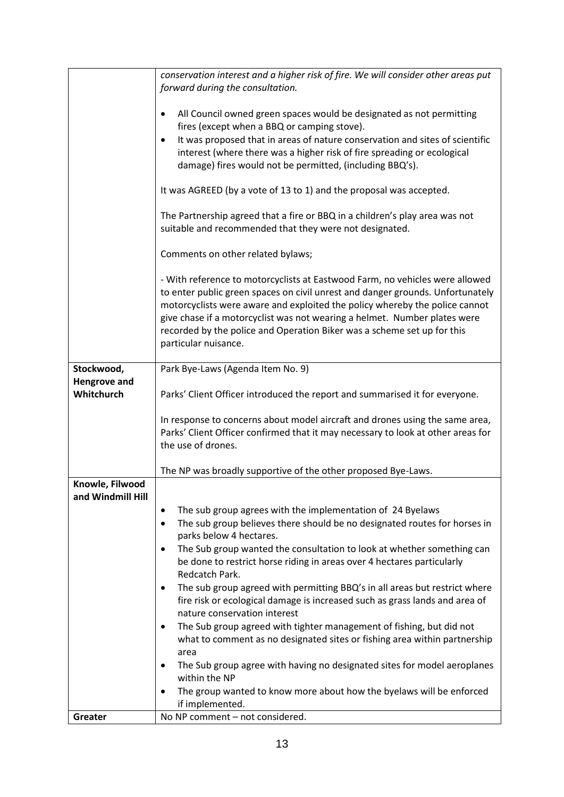|                     | conservation interest and a higher risk of fire. We will consider other areas put<br>forward during the consultation. |
|---------------------|-----------------------------------------------------------------------------------------------------------------------|
|                     |                                                                                                                       |
|                     | All Council owned green spaces would be designated as not permitting<br>$\bullet$                                     |
|                     | fires (except when a BBQ or camping stove).                                                                           |
|                     | It was proposed that in areas of nature conservation and sites of scientific<br>$\bullet$                             |
|                     | interest (where there was a higher risk of fire spreading or ecological                                               |
|                     | damage) fires would not be permitted, (including BBQ's).                                                              |
|                     | It was AGREED (by a vote of 13 to 1) and the proposal was accepted.                                                   |
|                     | The Partnership agreed that a fire or BBQ in a children's play area was not                                           |
|                     | suitable and recommended that they were not designated.                                                               |
|                     | Comments on other related bylaws;                                                                                     |
|                     | - With reference to motorcyclists at Eastwood Farm, no vehicles were allowed                                          |
|                     | to enter public green spaces on civil unrest and danger grounds. Unfortunately                                        |
|                     | motorcyclists were aware and exploited the policy whereby the police cannot                                           |
|                     | give chase if a motorcyclist was not wearing a helmet. Number plates were                                             |
|                     | recorded by the police and Operation Biker was a scheme set up for this<br>particular nuisance.                       |
|                     |                                                                                                                       |
| Stockwood,          | Park Bye-Laws (Agenda Item No. 9)                                                                                     |
| <b>Hengrove and</b> |                                                                                                                       |
| Whitchurch          | Parks' Client Officer introduced the report and summarised it for everyone.                                           |
|                     | In response to concerns about model aircraft and drones using the same area,                                          |
|                     | Parks' Client Officer confirmed that it may necessary to look at other areas for                                      |
|                     | the use of drones.                                                                                                    |
|                     | The NP was broadly supportive of the other proposed Bye-Laws.                                                         |
| Knowle, Filwood     |                                                                                                                       |
| and Windmill Hill   |                                                                                                                       |
|                     | The sub group agrees with the implementation of 24 Byelaws<br>٠                                                       |
|                     | The sub group believes there should be no designated routes for horses in<br>٠<br>parks below 4 hectares.             |
|                     | The Sub group wanted the consultation to look at whether something can<br>٠                                           |
|                     | be done to restrict horse riding in areas over 4 hectares particularly                                                |
|                     | Redcatch Park.                                                                                                        |
|                     | The sub group agreed with permitting BBQ's in all areas but restrict where<br>٠                                       |
|                     | fire risk or ecological damage is increased such as grass lands and area of                                           |
|                     | nature conservation interest<br>The Sub group agreed with tighter management of fishing, but did not                  |
|                     | ٠<br>what to comment as no designated sites or fishing area within partnership                                        |
|                     | area                                                                                                                  |
|                     | The Sub group agree with having no designated sites for model aeroplanes<br>٠                                         |
|                     | within the NP                                                                                                         |
|                     | The group wanted to know more about how the byelaws will be enforced                                                  |
|                     | if implemented.<br>No NP comment - not considered.                                                                    |
| Greater             |                                                                                                                       |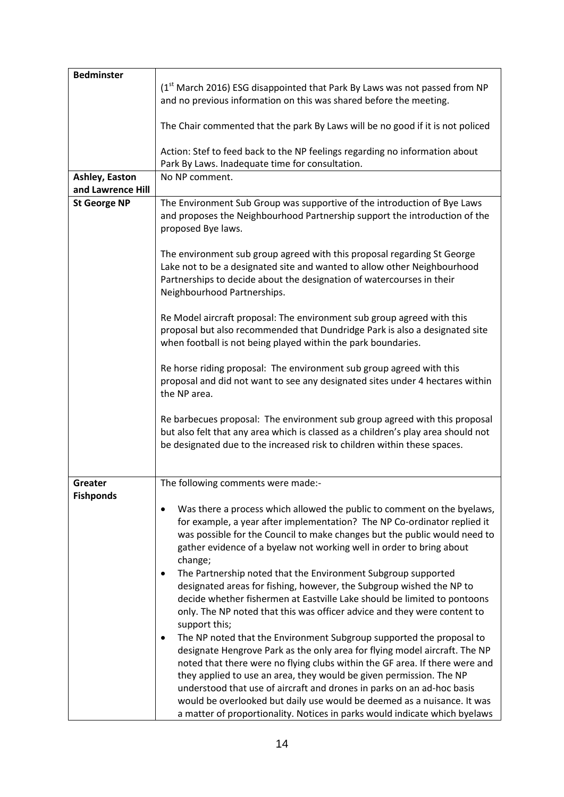| <b>Bedminster</b>   |                                                                                                                                                                                                                                                                                                                                                                                                                                                                                                                                                  |
|---------------------|--------------------------------------------------------------------------------------------------------------------------------------------------------------------------------------------------------------------------------------------------------------------------------------------------------------------------------------------------------------------------------------------------------------------------------------------------------------------------------------------------------------------------------------------------|
|                     | (1st March 2016) ESG disappointed that Park By Laws was not passed from NP<br>and no previous information on this was shared before the meeting.                                                                                                                                                                                                                                                                                                                                                                                                 |
|                     | The Chair commented that the park By Laws will be no good if it is not policed                                                                                                                                                                                                                                                                                                                                                                                                                                                                   |
|                     | Action: Stef to feed back to the NP feelings regarding no information about<br>Park By Laws. Inadequate time for consultation.                                                                                                                                                                                                                                                                                                                                                                                                                   |
| Ashley, Easton      | No NP comment.                                                                                                                                                                                                                                                                                                                                                                                                                                                                                                                                   |
| and Lawrence Hill   |                                                                                                                                                                                                                                                                                                                                                                                                                                                                                                                                                  |
| <b>St George NP</b> | The Environment Sub Group was supportive of the introduction of Bye Laws<br>and proposes the Neighbourhood Partnership support the introduction of the<br>proposed Bye laws.                                                                                                                                                                                                                                                                                                                                                                     |
|                     | The environment sub group agreed with this proposal regarding St George<br>Lake not to be a designated site and wanted to allow other Neighbourhood<br>Partnerships to decide about the designation of watercourses in their<br>Neighbourhood Partnerships.<br>Re Model aircraft proposal: The environment sub group agreed with this                                                                                                                                                                                                            |
|                     | proposal but also recommended that Dundridge Park is also a designated site<br>when football is not being played within the park boundaries.                                                                                                                                                                                                                                                                                                                                                                                                     |
|                     | Re horse riding proposal: The environment sub group agreed with this<br>proposal and did not want to see any designated sites under 4 hectares within<br>the NP area.                                                                                                                                                                                                                                                                                                                                                                            |
|                     | Re barbecues proposal: The environment sub group agreed with this proposal<br>but also felt that any area which is classed as a children's play area should not<br>be designated due to the increased risk to children within these spaces.                                                                                                                                                                                                                                                                                                      |
| Greater             | The following comments were made:-                                                                                                                                                                                                                                                                                                                                                                                                                                                                                                               |
| <b>Fishponds</b>    |                                                                                                                                                                                                                                                                                                                                                                                                                                                                                                                                                  |
|                     | Was there a process which allowed the public to comment on the byelaws,<br>for example, a year after implementation? The NP Co-ordinator replied it<br>was possible for the Council to make changes but the public would need to<br>gather evidence of a byelaw not working well in order to bring about<br>change;                                                                                                                                                                                                                              |
|                     | The Partnership noted that the Environment Subgroup supported<br>٠<br>designated areas for fishing, however, the Subgroup wished the NP to<br>decide whether fishermen at Eastville Lake should be limited to pontoons<br>only. The NP noted that this was officer advice and they were content to<br>support this;                                                                                                                                                                                                                              |
|                     | The NP noted that the Environment Subgroup supported the proposal to<br>٠<br>designate Hengrove Park as the only area for flying model aircraft. The NP<br>noted that there were no flying clubs within the GF area. If there were and<br>they applied to use an area, they would be given permission. The NP<br>understood that use of aircraft and drones in parks on an ad-hoc basis<br>would be overlooked but daily use would be deemed as a nuisance. It was<br>a matter of proportionality. Notices in parks would indicate which byelaws |